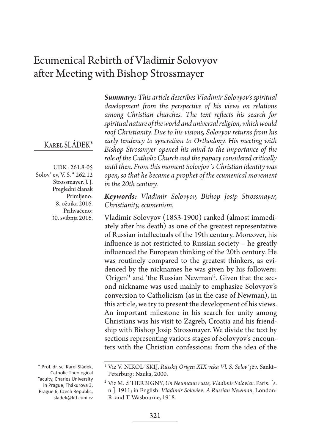# Ecumenical Rebirth of Vladimir Solovyov after Meeting with Bishop Strossmayer

### Karel SLÁDEK\*

UDK: 261.8-05 Solov' ev, V. S. \* 262.12 Strossmayer, J. J. Pregledni članak Primljeno: 8. ožujka 2016. Prihvaćeno: 30. svibnja 2016.

\* Prof. dr. sc. Karel Sládek, Catholic Theological Faculty, Charles University in Prague, Thákurova 3, Prague 6, Czech Republic, sladek@ktf.cuni.cz *Summary: This article describes Vladimir Solovyov's spiritual development from the perspective of his views on relations among Christian churches. The text reflects his search for spiritual nature of the world and universal religion, which would roof Christianity. Due to his visions, Solovyov returns from his early tendency to syncretism to Orthodoxy. His meeting with Bishop Strossmyer opened his mind to the importance of the role of the Catholic Church and the papacy considered critically until then. From this moment Solovjov´s Christian identity was open, so that he became a prophet of the ecumenical movement in the 20th century.*

*Keywords: Vladimir Solovyov, Bishop Josip Strossmayer, Christianity, ecumenism.*

Vladimir Solovyov (1853-1900) ranked (almost immediately after his death) as one of the greatest representative of Russian intellectuals of the 19th century. Moreover, his influence is not restricted to Russian society – he greatly influenced the European thinking of the 20th century. He was routinely compared to the greatest thinkers, as evidenced by the nicknames he was given by his followers: 'Origen'<sup>1</sup> and 'the Russian Newman'<sup>2</sup>. Given that the second nickname was used mainly to emphasize Solovyov's conversion to Catholicism (as in the case of Newman), in this article, we try to present the development of his views. An important milestone in his search for unity among Christians was his visit to Zagreb, Croatia and his friendship with Bishop Josip Strossmayer. We divide the text by sections representing various stages of Solovyov's encounters with the Christian confessions: from the idea of the

<sup>1</sup> Viz V. NIKOL´SKIJ, *Russkij Origen XIX veka Vl. S. Solov*´*j*ë*v*. Sankt– Peterburg: Nauka, 2000.

<sup>2</sup> Viz M. d´HERBIGNY, *Un Neumann russe, Vladimir Soloviev*. Paris: [s. n.], 1911; in English: *Vladimir Soloviev: A Russian Newman*, London: R. and T. Wasbourne, 1918.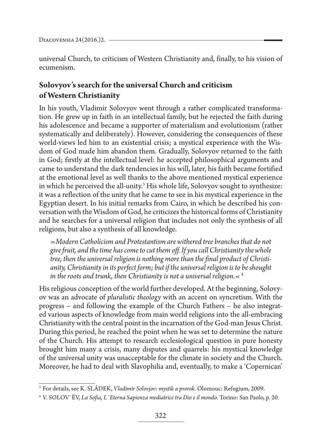universal Church, to criticism of Western Christianity and, finally, to his vision of ecumenism.

## **Solovyov's search for the universal Church and criticism of Western Christianity**

In his youth, Vladimir Solovyov went through a rather complicated transformation. He grew up in faith in an intellectual family, but he rejected the faith during his adolescence and became a supporter of materialism and evolutionism (rather systematically and deliberately). However, considering the consequences of these world-views led him to an existential crisis; a mystical experience with the Wisdom of God made him abandon them. Gradually, Solovyov returned to the faith in God; firstly at the intellectual level: he accepted philosophical arguments and came to understand the dark tendencies in his will, later, his faith became fortified at the emotional level as well thanks to the above mentioned mystical experience in which he perceived the all-unity.<sup>3</sup> His whole life, Solovyov sought to synthesize: it was a reflection of the unity that he came to see in his mystical experience in the Egyptian desert. In his initial remarks from Cairo, in which he described his conversation with the Wisdom of God, he criticizes the historical forms of Christianity and he searches for a universal religion that includes not only the synthesis of all religions, but also a synthesis of all knowledge.

*»Modern Catholicism and Protestantism are withered tree branches that do not give fruit, and the time has come to cut them off. If you call Christianity the whole tree, then the universal religion is nothing more than the final product of Christianity, Christianity in its perfect form; but if the universal religion is to be shought*  in the roots and trunk, then Christianity is not a universal religion. $\ll$ <sup>4</sup>

His religious conception of the world further developed. At the beginning, Solovyov was an advocate of *pluralistic theology* with an accent on syncretism. With the progress – and following the example of the Church Fathers – he also integrated various aspects of knowledge from main world religions into the all-embracing Christianity with the central point in the incarnation of the God-man Jesus Christ. During this period, he reached the point when he was set to determine the nature of the Church. His attempt to research ecclesiological question in pure honesty brought him many a crisis, many disputes and quarrels: his mystical knowledge of the universal unity was unacceptable for the climate in society and the Church. Moreover, he had to deal with Slavophilia and, eventually, to make a 'Copernican'

<sup>3</sup> For details, see K. SLÁDEK, *Vladimír Solovjov: mystik a prorok*. Olomouc: Refugium, 2009.

<sup>4</sup> V. SOLOV´ËV, *La Sofia, L´Eterna Sapienza mediatrice tra Dio e il mondo*. Torino: San Paolo, p. 20.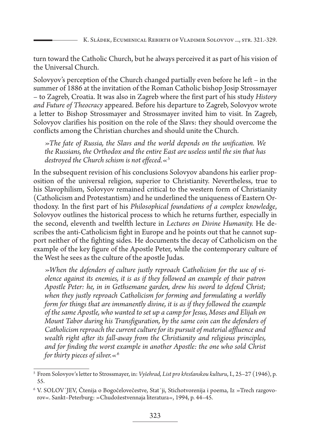turn toward the Catholic Church, but he always perceived it as part of his vision of the Universal Church.

Solovyov's perception of the Church changed partially even before he left – in the summer of 1886 at the invitation of the Roman Catholic bishop Josip Strossmayer – to Zagreb, Croatia. It was also in Zagreb where the first part of his study *History and Future of Theocracy* appeared. Before his departure to Zagreb, Solovyov wrote a letter to Bishop Strossmayer and Strossmayer invited him to visit. In Zagreb, Solovyov clarifies his position on the role of the Slavs: they should overcome the conflicts among the Christian churches and should unite the Church.

*»The fate of Russia, the Slavs and the world depends on the unification. We the Russians, the Orthodox and the entire East are useless until the sin that has destroyed the Church schism is not effeced.«*<sup>5</sup>

In the subsequent revision of his conclusions Solovyov abandons his earlier proposition of the universal religion, superior to Christianity. Nevertheless, true to his Slavophilism, Solovyov remained critical to the western form of Christianity (Catholicism and Protestantism) and he underlined the uniqueness of Eastern Orthodoxy. In the first part of his *Philosophical foundations of a complex knowledge*, Solovyov outlines the historical process to which he returns further, especially in the second, eleventh and twelfth lecture in *Lectures on Divine Humanity.* He describes the anti-Catholicism fight in Europe and he points out that he cannot support neither of the fighting sides. He documents the decay of Catholicism on the example of the key figure of the Apostle Peter, while the contemporary culture of the West he sees as the culture of the apostle Judas.

*»When the defenders of culture justly reproach Catholicism for the use of violence against its enemies, it is as if they followed an example of their patron Apostle Peter: he, in in Gethsemane garden, drew his sword to defend Christ; when they justly reproach Catholicism for forming and formulating a worldly form for things that are immanently divine, it is as if they followed the example of the same Apostle, who wanted to set up a camp for Jesus, Moses and Elijah on Mount Tabor during his Transfiguration, by the same coin can the defenders of Catholicism reproach the current culture for its pursuit of material affluence and wealth right after its fall-away from the Christianity and religious principles, and for finding the worst example in another Apostle: the one who sold Christ for thirty pieces of silver.«*<sup>6</sup>

<sup>5</sup> From Solovyov's letter to Strossmayer, in: *Vyšehrad, List pro křesťanskou kulturu*, I., 25–27 (1946), p. 55.

<sup>6</sup> V. SOLOV´JEV, Čtenija o Bogočelovečestve, Stat´ji, Stichotvorenija i poema, Iz »Trech razgovorov«. Sankt–Peterburg: »Chudožestvennaja literatura«, 1994, p. 44–45.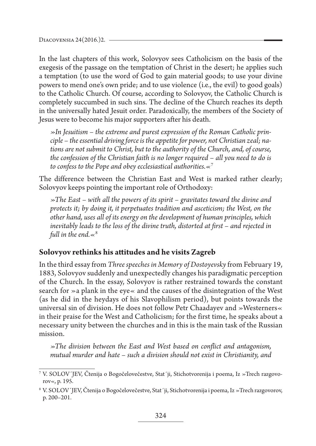In the last chapters of this work, Solovyov sees Catholicism on the basis of the exegesis of the passage on the temptation of Christ in the desert; he applies such a temptation (to use the word of God to gain material goods; to use your divine powers to mend one's own pride; and to use violence (i.e., the evil) to good goals) to the Catholic Church. Of course, according to Solovyov, the Catholic Church is completely succumbed in such sins. The decline of the Church reaches its depth in the universally hated Jesuit order. Paradoxically, the members of the Society of Jesus were to become his major supporters after his death.

*»In Jesuitism – the extreme and purest expression of the Roman Catholic principle – the essential driving force is the appetite for power, not Christian zeal; nations are not submit to Christ, but to the authority of the Church, and, of course, the confession of the Christian faith is no longer required – all you need to do is to confess to the Pope and obey ecclesiastical authorities.«*<sup>7</sup>

The difference between the Christian East and West is marked rather clearly; Solovyov keeps pointing the important role of Orthodoxy:

*»The East – with all the powers of its spirit – gravitates toward the divine and protects it; by doing it, it perpetuates tradition and asceticism; the West, on the other hand, uses all of its energy on the development of human principles, which inevitably leads to the loss of the divine truth, distorted at first – and rejected in full in the end.«*<sup>8</sup>

#### **Solovyov rethinks his attitudes and he visits Zagreb**

In the third essay from *Three speeches in Memory of Dostoyevsky* from February 19, 1883, Solovyov suddenly and unexpectedly changes his paradigmatic perception of the Church. In the essay, Solovyov is rather restrained towards the constant search for »a plank in the eye« and the causes of the disintegration of the West (as he did in the heydays of his Slavophilism period), but points towards the universal sin of division. He does not follow Petr Chaadayev and »Westerners« in their praise for the West and Catholicism; for the first time, he speaks about a necessary unity between the churches and in this is the main task of the Russian mission.

*»The division between the East and West based on conflict and antagonism, mutual murder and hate – such a division should not exist in Christianity, and* 

<sup>7</sup> V. SOLOV´JEV, Čtenija o Bogočelovečestve, Stat´ji, Stichotvorenija i poema, Iz »Trech razgovorov«, p. 195.

<sup>8</sup> V. SOLOV´JEV, Čtenija o Bogočelovečestve, Stat´ji, Stichotvorenija i poema, Iz »Trech razgovorov, p. 200–201.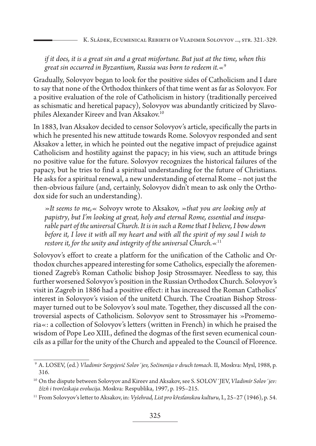#### *if it does, it is a great sin and a great misfortune. But just at the time, when this great sin occurred in Byzantium, Russia was born to redeem it.«*<sup>9</sup>

Gradually, Solovyov began to look for the positive sides of Catholicism and I dare to say that none of the Orthodox thinkers of that time went as far as Solovyov. For a positive evaluation of the role of Catholicism in history (traditionally perceived as schismatic and heretical papacy), Solovyov was abundantly criticized by Slavophiles Alexander Kireev and Ivan Aksakov.10

In 1883, Ivan Aksakov decided to censor Solovyov's article, specifically the parts in which he presented his new attitude towards Rome. Solovyov responded and sent Aksakov a letter, in which he pointed out the negative impact of prejudice against Catholicism and hostility against the papacy; in his view, such an attitude brings no positive value for the future. Solovyov recognizes the historical failures of the papacy, but he tries to find a spiritual understanding for the future of Christians. He asks for a spiritual renewal, a new understanding of eternal Rome – not just the then-obvious failure (and, certainly, Solovyov didn't mean to ask only the Orthodox side for such an understanding).

*»It seems to me,«* Solvoyv wrote to Aksakov, *»that you are looking only at papistry*, *but I'm looking at great, holy and eternal Rome, essential and inseparable part of the universal Church. It is in such a Rome that I believe, I bow down before it, I love it with all my heart and with all the spirit of my soul I wish to restore it, for the unity and integrity of the universal Church.«*<sup>11</sup>

Solovyov's effort to create a platform for the unification of the Catholic and Orthodox churches appeared interesting for some Catholics, especially the aforementioned Zagreb's Roman Catholic bishop Josip Strossmayer. Needless to say, this further worsened Solovyov's position in the Russian Orthodox Church. Solovyov's visit in Zagreb in 1886 had a positive effect: it has increased the Roman Catholics' interest in Solovyov's vision of the unitetd Church. The Croatian Bishop Strossmayer turned out to be Solovyov's soul mate. Together, they discussed all the controversial aspects of Catholicism. Solovyov sent to Strossmayer his »Promemoria«: a collection of Solovyov's letters (written in French) in which he praised the wisdom of Pope Leo XIII., defined the dogmas of the first seven ecumenical councils as a pillar for the unity of the Church and appealed to the Council of Florence.

<sup>9</sup> A. LOSEV, (ed.) *Vladimir Sergejevič Solov´jev, Sočinenija v dvuch tomach*. II, Moskva: Mysl, 1988, p. 316.

<sup>10</sup> On the dispute between Solovyov and Kireev and Aksakov, see S. SOLOV´JEV, *Vladimír Solov´jev: žízň i tvorčeskaja evolucija*. Moskva: Respublika, 1997, p. 195–215.

<sup>11</sup> From Solovyov's letter to Aksakov, in: *Vyšehrad, List pro křesťanskou kulturu*, I., 25–27 (1946), p. 54.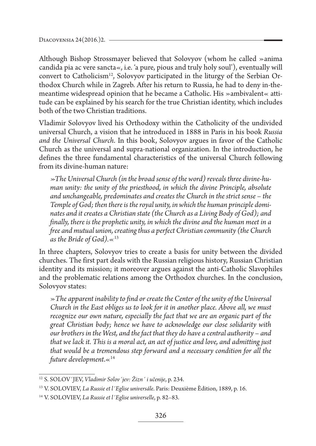Although Bishop Strossmayer believed that Solovyov (whom he called »anima candida pia ac vere sancta«, i.e. 'a pure, pious and truly holy soul'), eventually will convert to Catholicism<sup>12</sup>, Solovyov participated in the liturgy of the Serbian Orthodox Church while in Zagreb. After his return to Russia, he had to deny in-themeantime widespread opinion that he became a Catholic. His »ambivalent« attitude can be explained by his search for the true Christian identity, which includes both of the two Christian traditions.

Vladimir Solovyov lived his Orthodoxy within the Catholicity of the undivided universal Church, a vision that he introduced in 1888 in Paris in his book *Russia and the Universal Church*. In this book, Solovyov argues in favor of the Catholic Church as the universal and supra-national organization. In the introduction, he defines the three fundamental characteristics of the universal Church following from its divine-human nature:

*»The Universal Church (in the broad sense of the word) reveals three divine-human unity: the unity of the priesthood, in which the divine Principle, absolute and unchangeable, predominates and creates the Church in the strict sense – the Temple of God; then there is the royal unity, in which the human principle dominates and it creates a Christian state (the Church as a Living Body of God); and finally, there is the prophetic unity, in which the divine and the human meet in a free and mutual union, creating thus a perfect Christian community (the Church as the Bride of God).«*<sup>13</sup>

In three chapters, Solovyov tries to create a basis for unity between the divided churches. The first part deals with the Russian religious history, Russian Christian identity and its mission; it moreover argues against the anti-Catholic Slavophiles and the problematic relations among the Orthodox churches. In the conclusion, Solovyov states:

»*The apparent inability to find or create the Center of the unity of the Universal Church in the East obliges us to look for it in another place. Above all, we must recognize our own nature, especially the fact that we are an organic part of the great Christian body; hence we have to acknowledge our close solidarity with our brothers in the West, and the fact that they do have a central authority – and that we lack it. This is a moral act, an act of justice and love, and admitting just that would be a tremendous step forward and a necessary condition for all the future development*.«14

<sup>12</sup> S. SOLOV´JEV, *Vladimir Solov´jev: Žizn´ i učenije*, p. 234.

<sup>13</sup> V. SOLOVIEV, *La Russie et l´Eglise universále*. Paris: Deuxième Èdition, 1889, p. 16.

<sup>14</sup> V. SOLOVIEV, *La Russie et l´Eglise universelle*, p. 82–83.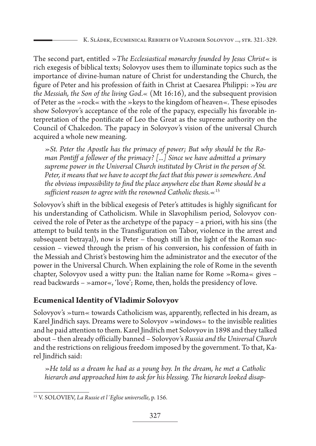The second part, entitled »*The Ecclesiastical monarchy founded by Jesus Christ*« is rich exegesis of biblical texts; Solovyov uses them to illuminate topics such as the importance of divine-human nature of Christ for understanding the Church, the figure of Peter and his profession of faith in Christ at Caesarea Philippi: »*You are the Messiah, the Son of the living God*.« (Mt 16:16), and the subsequent provision of Peter as the »rock« with the »keys to the kingdom of heaven«. These episodes show Solovyov's acceptance of the role of the papacy, especially his favorable interpretation of the pontificate of Leo the Great as the supreme authority on the Council of Chalcedon. The papacy in Solovyov's vision of the universal Church acquired a whole new meaning.

*»St. Peter the Apostle has the primacy of power; But why should be the Roman Pontiff a follower of the primacy? [...] Since we have admitted a primary supreme power in the Universal Church instituted by Christ in the person of St. Peter, it means that we have to accept the fact that this power is somewhere. And the obvious impossibility to find the place anywhere else than Rome should be a sufficient reason to agree with the renowned Catholic thesis.«*<sup>15</sup>

Solovyov's shift in the biblical exegesis of Peter's attitudes is highly significant for his understanding of Catholicism. While in Slavophilism period, Solovyov conceived the role of Peter as the archetype of the papacy – a priori, with his sins (the attempt to build tents in the Transfiguration on Tabor, violence in the arrest and subsequent betrayal), now is Peter – though still in the light of the Roman succession – viewed through the prism of his conversion, his confession of faith in the Messiah and Christ's bestowing him the administrator and the executor of the power in the Universal Church. When explaining the role of Rome in the seventh chapter, Solovyov used a witty pun: the Italian name for Rome »Roma« gives  $$ read backwards – »amor«, 'love'; Rome, then, holds the presidency of love.

#### **Ecumenical Identity of Vladimir Solovyov**

Solovyov's »turn« towards Catholicism was, apparently, reflected in his dream, as Karel Jindřich says. Dreams were to Solovyov »windows« to the invisible realities and he paid attention to them. Karel Jindřich met Solovyov in 1898 and they talked about – then already officially banned – Solovyov's *Russia and the Universal Church* and the restrictions on religious freedom imposed by the government. To that, Karel Jindřich said:

*»He told us a dream he had as a young boy. In the dream, he met a Catholic hierarch and approached him to ask for his blessing. The hierarch looked disap-*

<sup>15</sup> V. SOLOVIEV, *La Russie et l´Eglise universelle*, p. 156.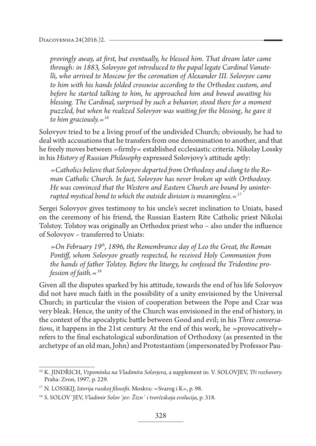*provingly away, at first, but eventually, he blessed him. That dream later came through: in 1883, Solovyov got introduced to the papal legate Cardinal Vanutelli, who arrived to Moscow for the coronation of Alexander III. Solovyov came to him with his hands folded crosswise according to the Orthodox custom, and before he started talking to him, he approached him and bowed awaiting his blessing. The Cardinal, surprised by such a behavior, stood there for a moment puzzled, but when he realized Solovyov was waiting for the blessing, he gave it to him graciously.«*<sup>16</sup>

Solovyov tried to be a living proof of the undivided Church; obviously, he had to deal with accusations that he transfers from one denomination to another, and that he freely moves between »firmly« established ecclesiastic criteria. Nikolay Lossky in his *History of Russian Philosophy* expressed Solovjovy's attitude aptly:

*»Catholics believe that Solovyov departed from Orthodoxy and clung to the Roman Catholic Church. In fact, Solovyov has never broken up with Orthodoxy. He was convinced that the Western and Eastern Church are bound by uninterrupted mystical bond to which the outside division is meaningless.«*<sup>17</sup>

Sergei Solovyov gives testimony to his uncle's secret inclination to Uniats, based on the ceremony of his friend, the Russian Eastern Rite Catholic priest Nikolai Tolstoy. Tolstoy was originally an Orthodox priest who – also under the influence of Solovyov – transferred to Uniats:

*»On February 19th, 1896, the Remembrance day of Leo the Great, the Roman Pontiff, whom Solovyov greatly respected, he received Holy Communion from the hands of father Tolstoy. Before the liturgy, he confessed the Tridentine profession of faith.«*<sup>18</sup>

Given all the disputes sparked by his attitude, towards the end of his life Solovyov did not have much faith in the possibility of a unity envisioned by the Universal Church; in particular the vision of cooperation between the Pope and Czar was very bleak. Hence, the unity of the Church was envisioned in the end of history, in the context of the apocalyptic battle between Good and evil; in his *Three conversations*, it happens in the 21st century. At the end of this work, he  $\gg$  provocatively  $\ll$ refers to the final eschatological subordination of Orthodoxy (as presented in the archetype of an old man, John) and Protestantism (impersonated by Professor Pau-

<sup>16</sup> K. JINDŘICH, *Vzpomínka na Vladimíra Solovjeva*, a supplement in: V. SOLOVJEV, *Tři rozhovory.* Praha: Zvon, 1997, p. 229.

<sup>17</sup> N. LOSSKIJ, *Istorija russkoj filosofii*. Moskva: »Svarog i K«, p. 98.

<sup>18</sup> S. SOLOV´JEV, *Vladimir Solov´jev: Žizn´ i tvorčeskaja evolucija*, p. 318.